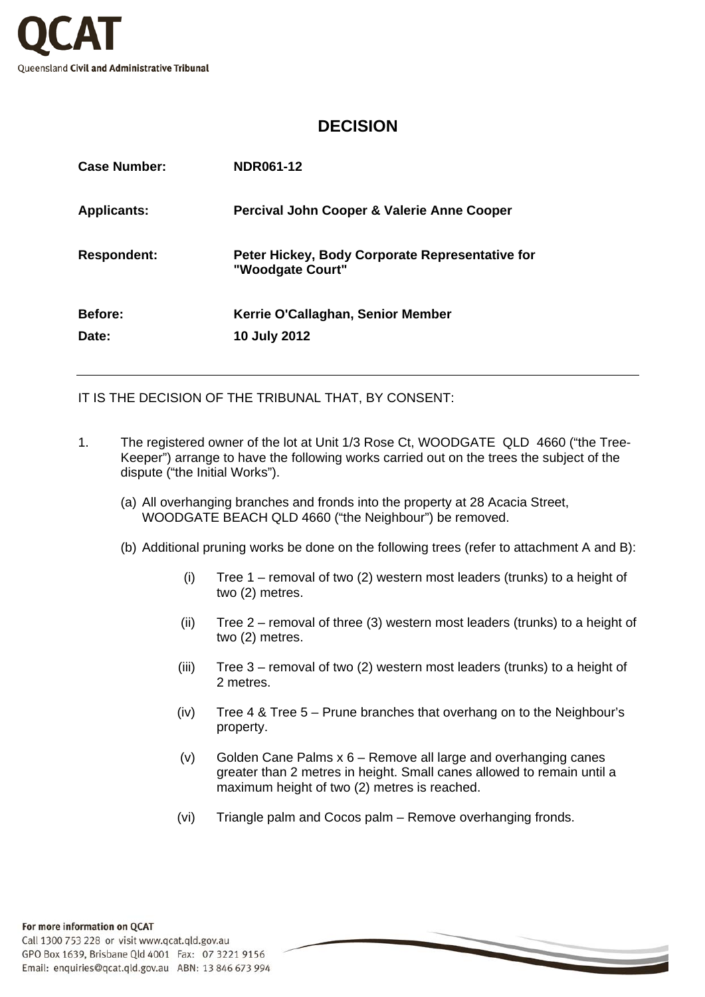

## **DECISION**

| <b>Case Number:</b> | <b>NDR061-12</b>                                                    |
|---------------------|---------------------------------------------------------------------|
| <b>Applicants:</b>  | Percival John Cooper & Valerie Anne Cooper                          |
| <b>Respondent:</b>  | Peter Hickey, Body Corporate Representative for<br>"Woodgate Court" |
| <b>Before:</b>      | Kerrie O'Callaghan, Senior Member                                   |
| Date:               | <b>10 July 2012</b>                                                 |

IT IS THE DECISION OF THE TRIBUNAL THAT, BY CONSENT:

- 1. The registered owner of the lot at Unit 1/3 Rose Ct, WOODGATE QLD 4660 ("the Tree-Keeper") arrange to have the following works carried out on the trees the subject of the dispute ("the Initial Works").
	- (a) All overhanging branches and fronds into the property at 28 Acacia Street, WOODGATE BEACH QLD 4660 ("the Neighbour") be removed.
	- (b) Additional pruning works be done on the following trees (refer to attachment A and B):
		- (i) Tree 1 removal of two (2) western most leaders (trunks) to a height of two (2) metres.
		- (ii) Tree 2 removal of three (3) western most leaders (trunks) to a height of two (2) metres.
		- (iii) Tree 3 removal of two (2) western most leaders (trunks) to a height of 2 metres.
		- (iv) Tree 4 & Tree 5 Prune branches that overhang on to the Neighbour's property.
		- (v) Golden Cane Palms x 6 Remove all large and overhanging canes greater than 2 metres in height. Small canes allowed to remain until a maximum height of two (2) metres is reached.
		- (vi) Triangle palm and Cocos palm Remove overhanging fronds.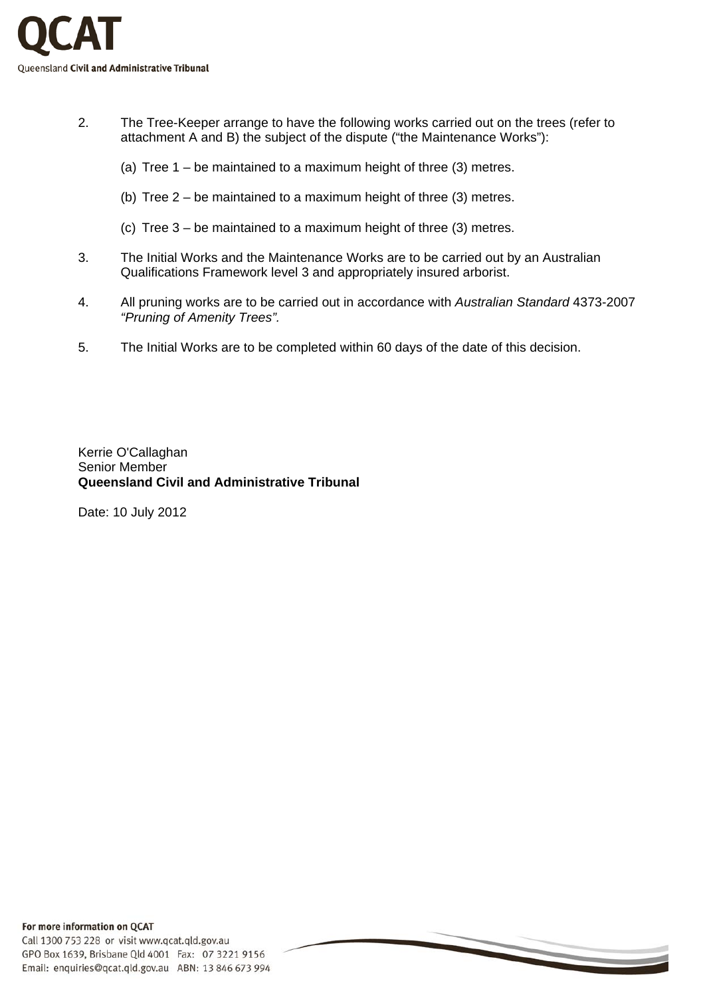

- 2. The Tree-Keeper arrange to have the following works carried out on the trees (refer to attachment A and B) the subject of the dispute ("the Maintenance Works"):
	- (a) Tree 1 be maintained to a maximum height of three (3) metres.
	- (b) Tree 2 be maintained to a maximum height of three (3) metres.
	- (c) Tree 3 be maintained to a maximum height of three (3) metres.
- 3. The Initial Works and the Maintenance Works are to be carried out by an Australian Qualifications Framework level 3 and appropriately insured arborist.
- 4. All pruning works are to be carried out in accordance with *Australian Standard* 4373-2007 *"Pruning of Amenity Trees".*
- 5. The Initial Works are to be completed within 60 days of the date of this decision.

Kerrie O'Callaghan Senior Member **Queensland Civil and Administrative Tribunal** 

Date: 10 July 2012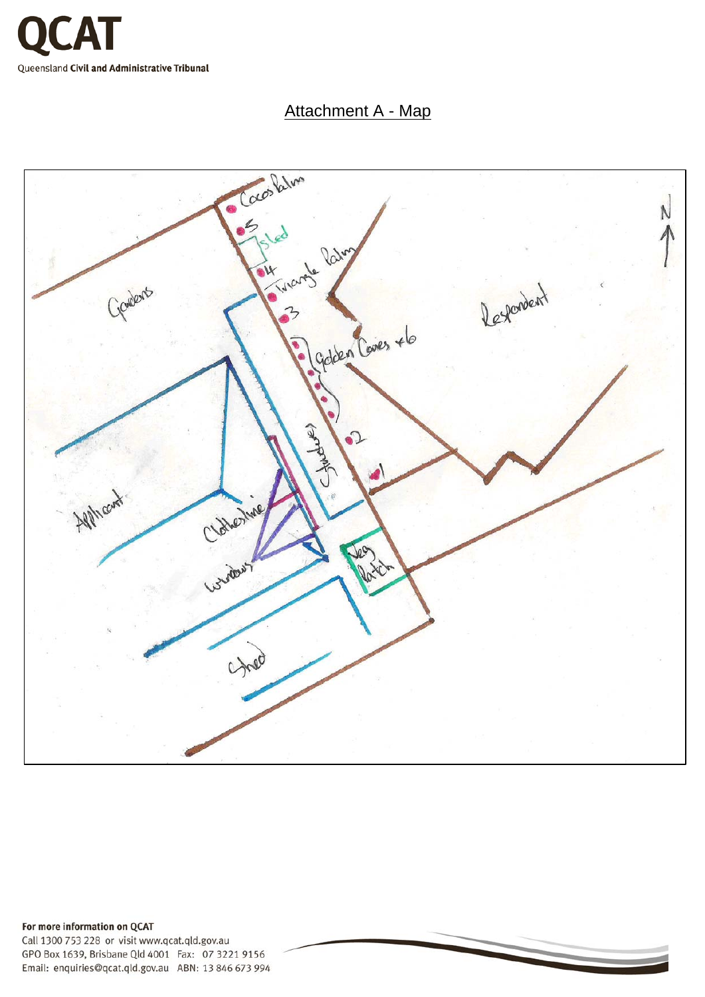

## Attachment A - Map



For more information on QCAT Call 1300 753 228 or visit www.qcat.qld.gov.au GPO Box 1639, Brisbane Qld 4001 Fax: 07 3221 9156 Email: enquiries@qcat.qld.gov.au ABN: 13 846 673 994